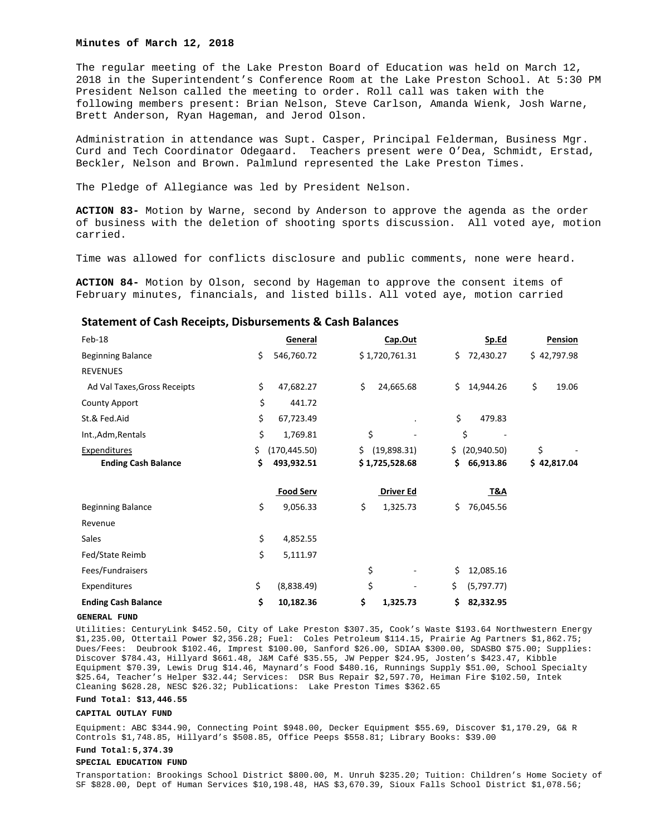## **Minutes of March 12, 2018**

The regular meeting of the Lake Preston Board of Education was held on March 12, 2018 in the Superintendent's Conference Room at the Lake Preston School. At 5:30 PM President Nelson called the meeting to order. Roll call was taken with the following members present: Brian Nelson, Steve Carlson, Amanda Wienk, Josh Warne, Brett Anderson, Ryan Hageman, and Jerod Olson.

Administration in attendance was Supt. Casper, Principal Felderman, Business Mgr. Curd and Tech Coordinator Odegaard. Teachers present were O'Dea, Schmidt, Erstad, Beckler, Nelson and Brown. Palmlund represented the Lake Preston Times.

The Pledge of Allegiance was led by President Nelson.

**ACTION 83-** Motion by Warne, second by Anderson to approve the agenda as the order of business with the deletion of shooting sports discussion. All voted aye, motion carried.

Time was allowed for conflicts disclosure and public comments, none were heard.

**ACTION 84-** Motion by Olson, second by Hageman to approve the consent items of February minutes, financials, and listed bills. All voted aye, motion carried

## **Statement of Cash Receipts, Disbursements & Cash Balances**

| Feb-18                       |     | General          | Cap.Out           | <u>Sp.Ed</u>      | Pension     |
|------------------------------|-----|------------------|-------------------|-------------------|-------------|
| <b>Beginning Balance</b>     | \$  | 546,760.72       | \$1,720,761.31    | Ś.<br>72,430.27   | \$42,797.98 |
| <b>REVENUES</b>              |     |                  |                   |                   |             |
| Ad Val Taxes, Gross Receipts | \$  | 47,682.27        | \$<br>24,665.68   | Ś.<br>14,944.26   | \$<br>19.06 |
| <b>County Apport</b>         | \$  | 441.72           |                   |                   |             |
| St.& Fed.Aid                 | \$  | 67,723.49        |                   | \$<br>479.83      |             |
| Int., Adm, Rentals           | \$  | 1,769.81         | \$                | \$                |             |
| Expenditures                 | \$. | (170, 445.50)    | \$<br>(19,898.31) | \$<br>(20,940.50) | \$          |
| <b>Ending Cash Balance</b>   | \$  | 493,932.51       | \$1,725,528.68    | \$.<br>66,913.86  | \$42,817.04 |
|                              |     | <b>Food Serv</b> | Driver Ed         | <u>T&amp;A</u>    |             |
| <b>Beginning Balance</b>     | \$  | 9,056.33         | \$<br>1,325.73    | Ś.<br>76,045.56   |             |
| Revenue                      |     |                  |                   |                   |             |
| Sales                        | \$  | 4,852.55         |                   |                   |             |
| Fed/State Reimb              | \$  | 5,111.97         |                   |                   |             |
| Fees/Fundraisers             |     |                  | \$                | \$<br>12,085.16   |             |
| Expenditures                 | \$  | (8,838.49)       | \$                | \$<br>(5,797.77)  |             |
| <b>Ending Cash Balance</b>   | \$  | 10,182.36        | \$<br>1,325.73    | \$<br>82,332.95   |             |

### **GENERAL FUND**

Utilities: CenturyLink \$452.50, City of Lake Preston \$307.35, Cook's Waste \$193.64 Northwestern Energy \$1,235.00, Ottertail Power \$2,356.28; Fuel: Coles Petroleum \$114.15, Prairie Ag Partners \$1,862.75; Dues/Fees: Deubrook \$102.46, Imprest \$100.00, Sanford \$26.00, SDIAA \$300.00, SDASBO \$75.00; Supplies: Discover \$784.43, Hillyard \$661.48, J&M Café \$35.55, JW Pepper \$24.95, Josten's \$423.47, Kibble Equipment \$70.39, Lewis Drug \$14.46, Maynard's Food \$480.16, Runnings Supply \$51.00, School Specialty \$25.64, Teacher's Helper \$32.44; Services: DSR Bus Repair \$2,597.70, Heiman Fire \$102.50, Intek Cleaning \$628.28, NESC \$26.32; Publications: Lake Preston Times \$362.65

#### **Fund Total: \$13,446.55**

### **CAPITAL OUTLAY FUND**

Equipment: ABC \$344.90, Connecting Point \$948.00, Decker Equipment \$55.69, Discover \$1,170.29, G& R Controls \$1,748.85, Hillyard's \$508.85, Office Peeps \$558.81; Library Books: \$39.00

# **Fund Total: 5,374.39**

#### **SPECIAL EDUCATION FUND**

Transportation: Brookings School District \$800.00, M. Unruh \$235.20; Tuition: Children's Home Society of SF \$828.00, Dept of Human Services \$10,198.48, HAS \$3,670.39, Sioux Falls School District \$1,078.56;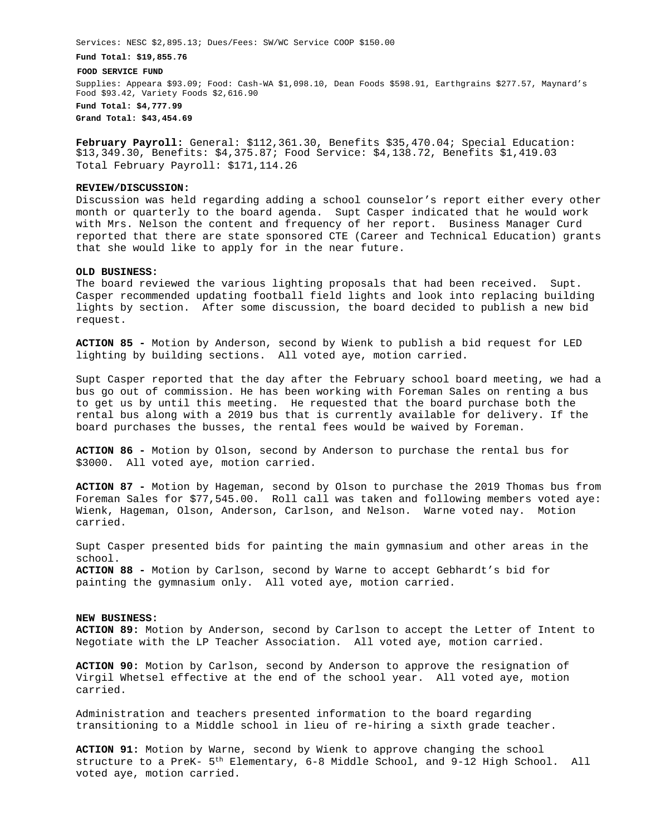Services: NESC \$2,895.13; Dues/Fees: SW/WC Service COOP \$150.00

**Fund Total: \$19,855.76** 

**FOOD SERVICE FUND** 

Supplies: Appeara \$93.09; Food: Cash-WA \$1,098.10, Dean Foods \$598.91, Earthgrains \$277.57, Maynard's Food \$93.42, Variety Foods \$2,616.90 **Fund Total: \$4,777.99** 

**Grand Total: \$43,454.69** 

**February Payroll:** General: \$112,361.30, Benefits \$35,470.04; Special Education: \$13,349.30, Benefits: \$4,375.87; Food Service: \$4,138.72, Benefits \$1,419.03 Total February Payroll: \$171,114.26

### **REVIEW/DISCUSSION:**

Discussion was held regarding adding a school counselor's report either every other month or quarterly to the board agenda. Supt Casper indicated that he would work with Mrs. Nelson the content and frequency of her report. Business Manager Curd reported that there are state sponsored CTE (Career and Technical Education) grants that she would like to apply for in the near future.

## **OLD BUSINESS:**

The board reviewed the various lighting proposals that had been received. Supt. Casper recommended updating football field lights and look into replacing building lights by section. After some discussion, the board decided to publish a new bid request.

**ACTION 85 -** Motion by Anderson, second by Wienk to publish a bid request for LED lighting by building sections. All voted aye, motion carried.

Supt Casper reported that the day after the February school board meeting, we had a bus go out of commission. He has been working with Foreman Sales on renting a bus to get us by until this meeting. He requested that the board purchase both the rental bus along with a 2019 bus that is currently available for delivery. If the board purchases the busses, the rental fees would be waived by Foreman.

**ACTION 86 -** Motion by Olson, second by Anderson to purchase the rental bus for \$3000. All voted aye, motion carried.

**ACTION 87 -** Motion by Hageman, second by Olson to purchase the 2019 Thomas bus from Foreman Sales for \$77,545.00. Roll call was taken and following members voted aye: Wienk, Hageman, Olson, Anderson, Carlson, and Nelson. Warne voted nay. Motion carried.

Supt Casper presented bids for painting the main gymnasium and other areas in the school. **ACTION 88 -** Motion by Carlson, second by Warne to accept Gebhardt's bid for painting the gymnasium only. All voted aye, motion carried.

### **NEW BUSINESS:**

**ACTION 89:** Motion by Anderson, second by Carlson to accept the Letter of Intent to Negotiate with the LP Teacher Association. All voted aye, motion carried.

**ACTION 90:** Motion by Carlson, second by Anderson to approve the resignation of Virgil Whetsel effective at the end of the school year. All voted aye, motion carried.

Administration and teachers presented information to the board regarding transitioning to a Middle school in lieu of re-hiring a sixth grade teacher.

**ACTION 91:** Motion by Warne, second by Wienk to approve changing the school structure to a PreK- 5th Elementary, 6-8 Middle School, and 9-12 High School. All voted aye, motion carried.